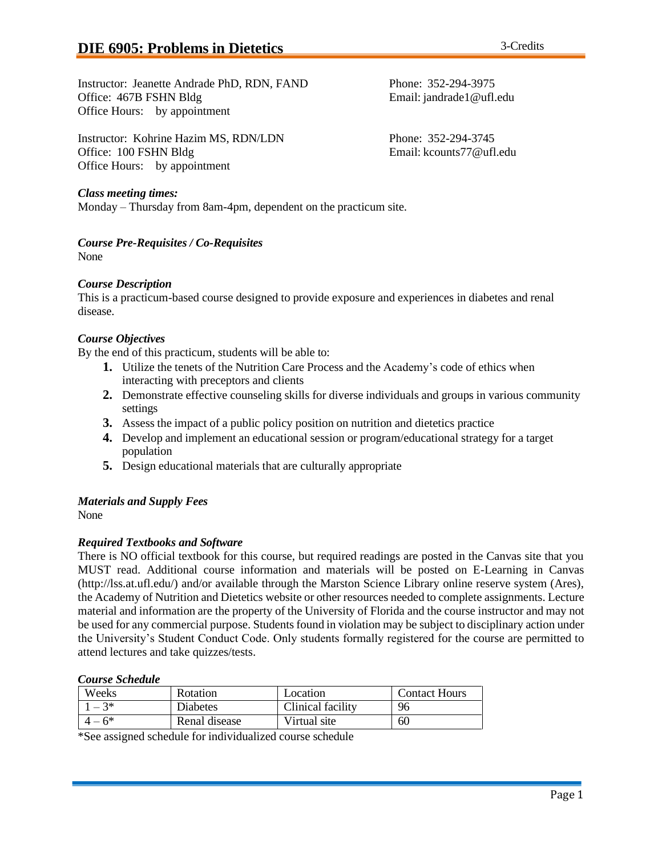Instructor: Kohrine Hazim MS, RDN/LDN Phone: 352-294-3745 Office: 100 FSHN Bldg Email: [kcounts77@ufl.edu](mailto:kcounts77@ufl.edu) Office Hours: by appointment

# *Class meeting times:*

Monday – Thursday from 8am-4pm, dependent on the practicum site.

*Course Pre-Requisites / Co-Requisites* None

### *Course Description*

This is a practicum-based course designed to provide exposure and experiences in diabetes and renal disease.

# *Course Objectives*

By the end of this practicum, students will be able to:

- **1.** Utilize the tenets of the Nutrition Care Process and the Academy's code of ethics when interacting with preceptors and clients
- **2.** Demonstrate effective counseling skills for diverse individuals and groups in various community settings
- **3.** Assess the impact of a public policy position on nutrition and dietetics practice
- **4.** Develop and implement an educational session or program/educational strategy for a target population
- **5.** Design educational materials that are culturally appropriate

# *Materials and Supply Fees*

None

# *Required Textbooks and Software*

There is NO official textbook for this course, but required readings are posted in the Canvas site that you MUST read. Additional course information and materials will be posted on E-Learning in Canvas [\(http://lss.at.ufl.edu/\) a](http://lss.at.ufl.edu/))nd/or available through the Marston Science Library online reserve system (Ares), the Academy of Nutrition and Dietetics website or other resources needed to complete assignments. Lecture material and information are the property of the University of Florida and the course instructor and may not be used for any commercial purpose. Students found in violation may be subject to disciplinary action under the University's Student Conduct Code. Only students formally registered for the course are permitted to attend lectures and take quizzes/tests.

### *Course Schedule*

| Weeks | Rotation      | Location          | <b>Contact Hours</b> |
|-------|---------------|-------------------|----------------------|
| $-3*$ | Diabetes      | Clinical facility | 96                   |
| $-6*$ | Renal disease | Virtual site      | 60                   |

\*See assigned schedule for individualized course schedule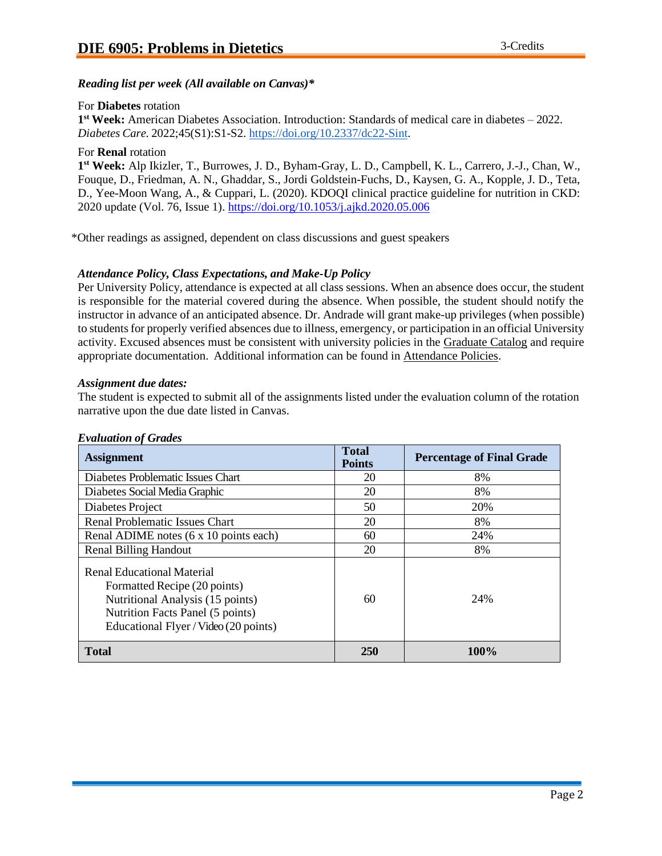## *Reading list per week (All available on Canvas)\**

### For **Diabetes** rotation

**1 st Week:** American Diabetes Association. Introduction: Standards of medical care in diabetes – 2022. *Diabetes Care.* 2022;45(S1):S1-S2. [https://doi.org/10.2337/dc22-Sint.](https://doi.org/10.2337/dc22-Sint)

#### For **Renal** rotation

**1 st Week:** Alp Ikizler, T., Burrowes, J. D., Byham-Gray, L. D., Campbell, K. L., Carrero, J.-J., Chan, W., Fouque, D., Friedman, A. N., Ghaddar, S., Jordi Goldstein-Fuchs, D., Kaysen, G. A., Kopple, J. D., Teta, D., Yee-Moon Wang, A., & Cuppari, L. (2020). KDOQI clinical practice guideline for nutrition in CKD: 2020 update (Vol. 76, Issue 1).<https://doi.org/10.1053/j.ajkd.2020.05.006>

\*Other readings as assigned, dependent on class discussions and guest speakers

# *Attendance Policy, Class Expectations, and Make-Up Policy*

Per University Policy, attendance is expected at all class sessions. When an absence does occur, the student is responsible for the material covered during the absence. When possible, the student should notify the instructor in advance of an anticipated absence. Dr. Andrade will grant make-up privileges (when possible) to studentsfor properly verified absences due to illness, emergency, or participation in an official University activity. Excused absences must be consistent with university policies in the [Graduate](https://catalog.ufl.edu/graduate/?catoid=10&navoid=2020&attendance) Catalog and require appropriate documentation. Additional information can be found in [Attendance Policies.](https://catalog.ufl.edu/UGRD/academic-regulations/attendance-policies/)

### *Assignment due dates:*

The student is expected to submit all of the assignments listed under the evaluation column of the rotation narrative upon the due date listed in Canvas.

| <b>Assignment</b>                                                                                                                                                           | <b>Total</b><br><b>Points</b> | <b>Percentage of Final Grade</b> |
|-----------------------------------------------------------------------------------------------------------------------------------------------------------------------------|-------------------------------|----------------------------------|
| Diabetes Problematic Issues Chart                                                                                                                                           | 20                            | 8%                               |
| Diabetes Social Media Graphic                                                                                                                                               | 20                            | 8%                               |
| Diabetes Project                                                                                                                                                            | 50                            | 20%                              |
| <b>Renal Problematic Issues Chart</b>                                                                                                                                       | 20                            | 8%                               |
| Renal ADIME notes (6 x 10 points each)                                                                                                                                      | 60                            | 24%                              |
| <b>Renal Billing Handout</b>                                                                                                                                                | 20                            | 8%                               |
| Renal Educational Material<br>Formatted Recipe (20 points)<br>Nutritional Analysis (15 points)<br>Nutrition Facts Panel (5 points)<br>Educational Flyer / Video (20 points) | 60                            | 24%                              |
| Total                                                                                                                                                                       | <b>250</b>                    | 100%                             |

#### *Evaluation of Grades*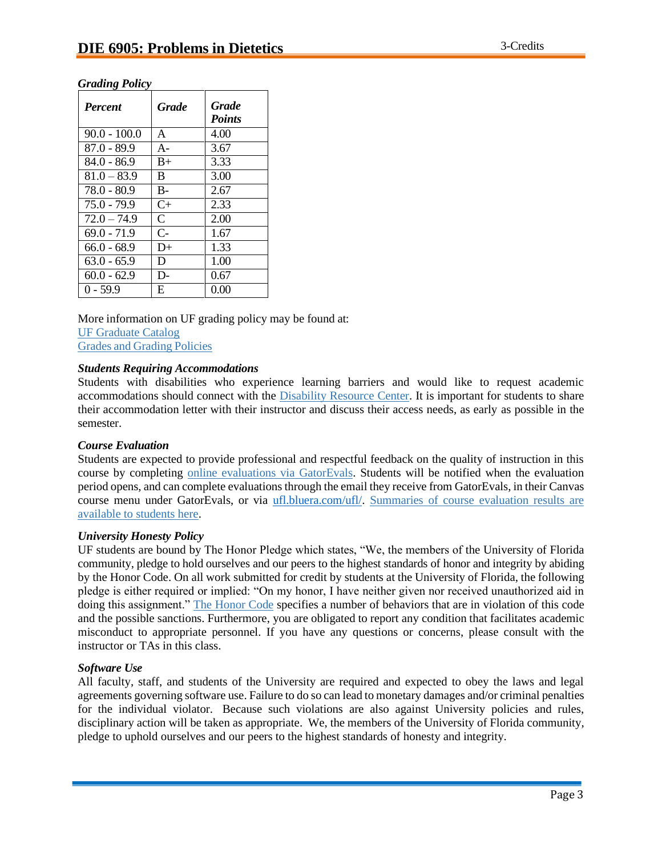# *Grading Policy*

| <b>Percent</b> | Grade        | <b>Grade</b><br><b>Points</b> |
|----------------|--------------|-------------------------------|
| $90.0 - 100.0$ | A            | 4.00                          |
| $87.0 - 89.9$  | $A -$        | 3.67                          |
| $84.0 - 86.9$  | $B+$         | 3.33                          |
| $81.0 - 83.9$  | B.           | 3.00                          |
| 78.0 - 80.9    | $B-$         | 2.67                          |
| $75.0 - 79.9$  | $C+$         | 2.33                          |
| $72.0 - 74.9$  | $\mathsf{C}$ | 2.00                          |
| $69.0 - 71.9$  | $C-$         | 1.67                          |
| $66.0 - 68.9$  | D+           | 1.33                          |
| $63.0 - 65.9$  | D.           | 1.00                          |
| $60.0 - 62.9$  | D-           | 0.67                          |
| $0 - 59.9$     | E            | 0.00                          |

More information on UF grading policy may be found at: [UF Graduate Catalog](https://catalog.ufl.edu/graduate/?catoid=10&navoid=2020&grades) Grades and [Grading](https://catalog.ufl.edu/UGRD/academic-regulations/grades-grading-policies/) Policies

#### *Students Requiring Accommodations*

Students with disabilities who experience learning barriers and would like to request academic accommodations should connect with the [Disability Resource Center.](https://disability.ufl.edu/students/get-started/) It is important for students to share their accommodation letter with their instructor and discuss their access needs, as early as possible in the semester.

#### *Course Evaluation*

Students are expected to provide professional and respectful feedback on the quality of instruction in this course by completing [online evaluations](https://gatorevals.aa.ufl.edu/) via GatorEvals. Students will be notified when the evaluation period opens, and can complete evaluations through the email they receive from GatorEvals, in their Canvas course menu under GatorEvals, or via [ufl.bluera.com/ufl/.](https://ufl.bluera.com/ufl/) [Summaries of course evaluation results are](https://gatorevals.aa.ufl.edu/public-results/) [available to students here.](https://gatorevals.aa.ufl.edu/public-results/)

#### *University Honesty Policy*

UF students are bound by The Honor Pledge which states, "We, the members of the University of Florida community, pledge to hold ourselves and our peers to the highest standards of honor and integrity by abiding by the Honor Code. On all work submitted for credit by students at the University of Florida, the following pledge is either required or implied: "On my honor, I have neither given nor received unauthorized aid in doing this assignment." [The Honor Code](https://sccr.dso.ufl.edu/process/student-conduct-code/) specifies a number of behaviors that are in violation of this code and the possible sanctions. Furthermore, you are obligated to report any condition that facilitates academic misconduct to appropriate personnel. If you have any questions or concerns, please consult with the instructor or TAs in this class.

### *Software Use*

All faculty, staff, and students of the University are required and expected to obey the laws and legal agreements governing software use. Failure to do so can lead to monetary damages and/or criminal penalties for the individual violator. Because such violations are also against University policies and rules, disciplinary action will be taken as appropriate. We, the members of the University of Florida community, pledge to uphold ourselves and our peers to the highest standards of honesty and integrity.